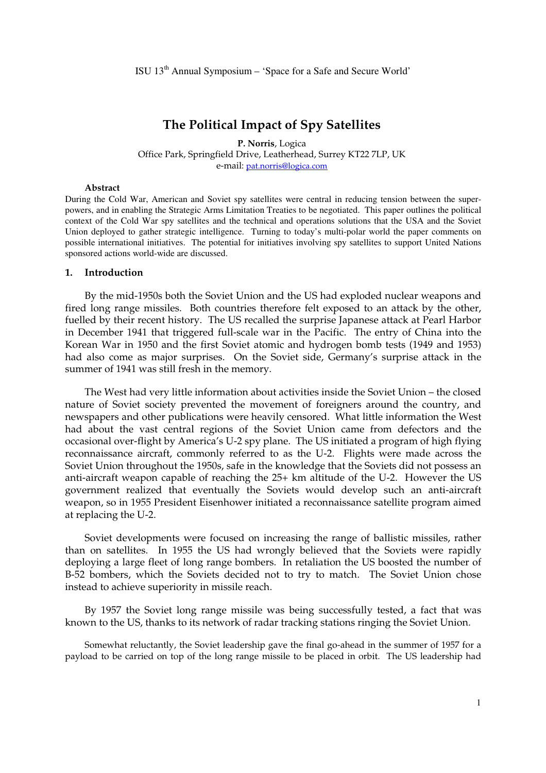# **The Political Impact of Spy Satellites**

**P. Norris**, Logica Office Park, Springfield Drive, Leatherhead, Surrey KT22 7LP, UK e-mail: pat.norris@logica.com

#### **Abstract**

During the Cold War, American and Soviet spy satellites were central in reducing tension between the superpowers, and in enabling the Strategic Arms Limitation Treaties to be negotiated. This paper outlines the political context of the Cold War spy satellites and the technical and operations solutions that the USA and the Soviet Union deployed to gather strategic intelligence. Turning to today's multi-polar world the paper comments on possible international initiatives. The potential for initiatives involving spy satellites to support United Nations sponsored actions world-wide are discussed.

#### **1. Introduction**

By the mid-1950s both the Soviet Union and the US had exploded nuclear weapons and fired long range missiles. Both countries therefore felt exposed to an attack by the other, fuelled by their recent history. The US recalled the surprise Japanese attack at Pearl Harbor in December 1941 that triggered full-scale war in the Pacific. The entry of China into the Korean War in 1950 and the first Soviet atomic and hydrogen bomb tests (1949 and 1953) had also come as major surprises. On the Soviet side, Germany's surprise attack in the summer of 1941 was still fresh in the memory.

The West had very little information about activities inside the Soviet Union – the closed nature of Soviet society prevented the movement of foreigners around the country, and newspapers and other publications were heavily censored. What little information the West had about the vast central regions of the Soviet Union came from defectors and the occasional over-flight by America's U-2 spy plane. The US initiated a program of high flying reconnaissance aircraft, commonly referred to as the U-2. Flights were made across the Soviet Union throughout the 1950s, safe in the knowledge that the Soviets did not possess an anti-aircraft weapon capable of reaching the 25+ km altitude of the U-2. However the US government realized that eventually the Soviets would develop such an anti-aircraft weapon, so in 1955 President Eisenhower initiated a reconnaissance satellite program aimed at replacing the U-2.

Soviet developments were focused on increasing the range of ballistic missiles, rather than on satellites. In 1955 the US had wrongly believed that the Soviets were rapidly deploying a large fleet of long range bombers. In retaliation the US boosted the number of B-52 bombers, which the Soviets decided not to try to match. The Soviet Union chose instead to achieve superiority in missile reach.

By 1957 the Soviet long range missile was being successfully tested, a fact that was known to the US, thanks to its network of radar tracking stations ringing the Soviet Union.

Somewhat reluctantly, the Soviet leadership gave the final go-ahead in the summer of 1957 for a payload to be carried on top of the long range missile to be placed in orbit. The US leadership had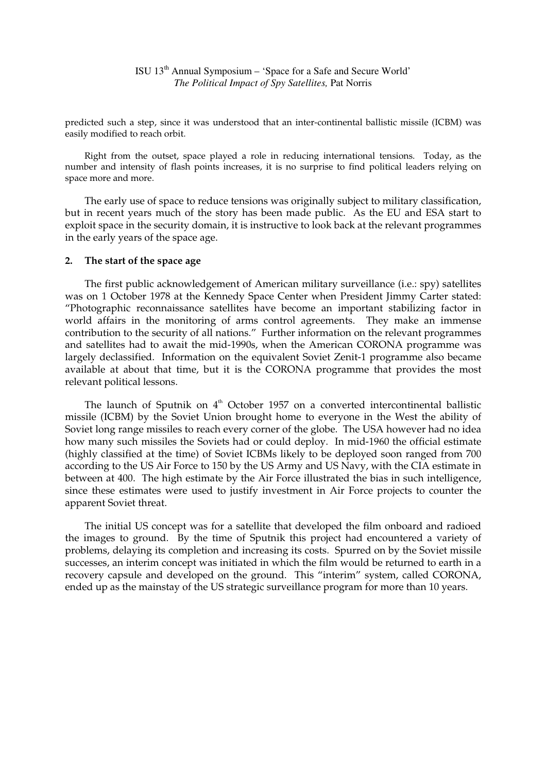predicted such a step, since it was understood that an inter-continental ballistic missile (ICBM) was easily modified to reach orbit.

Right from the outset, space played a role in reducing international tensions. Today, as the number and intensity of flash points increases, it is no surprise to find political leaders relying on space more and more.

The early use of space to reduce tensions was originally subject to military classification, but in recent years much of the story has been made public. As the EU and ESA start to exploit space in the security domain, it is instructive to look back at the relevant programmes in the early years of the space age.

### **2. The start of the space age**

The first public acknowledgement of American military surveillance (i.e.: spy) satellites was on 1 October 1978 at the Kennedy Space Center when President Jimmy Carter stated: "Photographic reconnaissance satellites have become an important stabilizing factor in world affairs in the monitoring of arms control agreements. They make an immense contribution to the security of all nations." Further information on the relevant programmes and satellites had to await the mid-1990s, when the American CORONA programme was largely declassified. Information on the equivalent Soviet Zenit-1 programme also became available at about that time, but it is the CORONA programme that provides the most relevant political lessons.

The launch of Sputnik on  $4<sup>th</sup>$  October 1957 on a converted intercontinental ballistic missile (ICBM) by the Soviet Union brought home to everyone in the West the ability of Soviet long range missiles to reach every corner of the globe. The USA however had no idea how many such missiles the Soviets had or could deploy. In mid-1960 the official estimate (highly classified at the time) of Soviet ICBMs likely to be deployed soon ranged from 700 according to the US Air Force to 150 by the US Army and US Navy, with the CIA estimate in between at 400. The high estimate by the Air Force illustrated the bias in such intelligence, since these estimates were used to justify investment in Air Force projects to counter the apparent Soviet threat.

The initial US concept was for a satellite that developed the film onboard and radioed the images to ground. By the time of Sputnik this project had encountered a variety of problems, delaying its completion and increasing its costs. Spurred on by the Soviet missile successes, an interim concept was initiated in which the film would be returned to earth in a recovery capsule and developed on the ground. This "interim" system, called CORONA, ended up as the mainstay of the US strategic surveillance program for more than 10 years.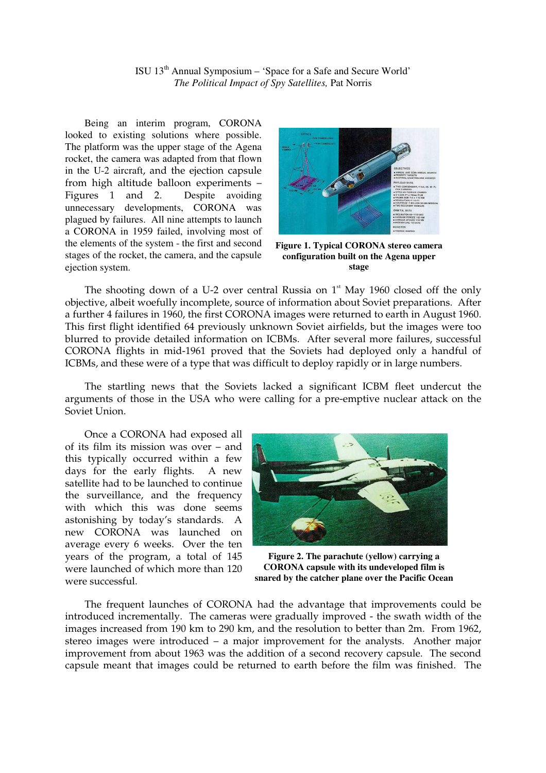ISU 13th Annual Symposium – 'Space for a Safe and Secure World' *The Political Impact of Spy Satellites,* Pat Norris

Being an interim program, CORONA looked to existing solutions where possible. The platform was the upper stage of the Agena rocket, the camera was adapted from that flown in the U-2 aircraft, and the ejection capsule from high altitude balloon experiments – Figures 1 and 2. Despite avoiding unnecessary developments, CORONA was plagued by failures. All nine attempts to launch a CORONA in 1959 failed, involving most of the elements of the system - the first and second stages of the rocket, the camera, and the capsule ejection system.



**Figure 1. Typical CORONA stereo camera configuration built on the Agena upper stage** 

The shooting down of a U-2 over central Russia on  $1<sup>st</sup>$  May 1960 closed off the only objective, albeit woefully incomplete, source of information about Soviet preparations. After a further 4 failures in 1960, the first CORONA images were returned to earth in August 1960. This first flight identified 64 previously unknown Soviet airfields, but the images were too blurred to provide detailed information on ICBMs. After several more failures, successful CORONA flights in mid-1961 proved that the Soviets had deployed only a handful of ICBMs, and these were of a type that was difficult to deploy rapidly or in large numbers.

The startling news that the Soviets lacked a significant ICBM fleet undercut the arguments of those in the USA who were calling for a pre-emptive nuclear attack on the Soviet Union.

Once a CORONA had exposed all of its film its mission was over – and this typically occurred within a few days for the early flights. A new satellite had to be launched to continue the surveillance, and the frequency with which this was done seems astonishing by today's standards. A new CORONA was launched on average every 6 weeks. Over the ten years of the program, a total of 145 were launched of which more than 120 were successful.



**Figure 2. The parachute (yellow) carrying a CORONA capsule with its undeveloped film is snared by the catcher plane over the Pacific Ocean** 

The frequent launches of CORONA had the advantage that improvements could be introduced incrementally. The cameras were gradually improved - the swath width of the images increased from 190 km to 290 km, and the resolution to better than 2m. From 1962, stereo images were introduced – a major improvement for the analysts. Another major improvement from about 1963 was the addition of a second recovery capsule. The second capsule meant that images could be returned to earth before the film was finished. The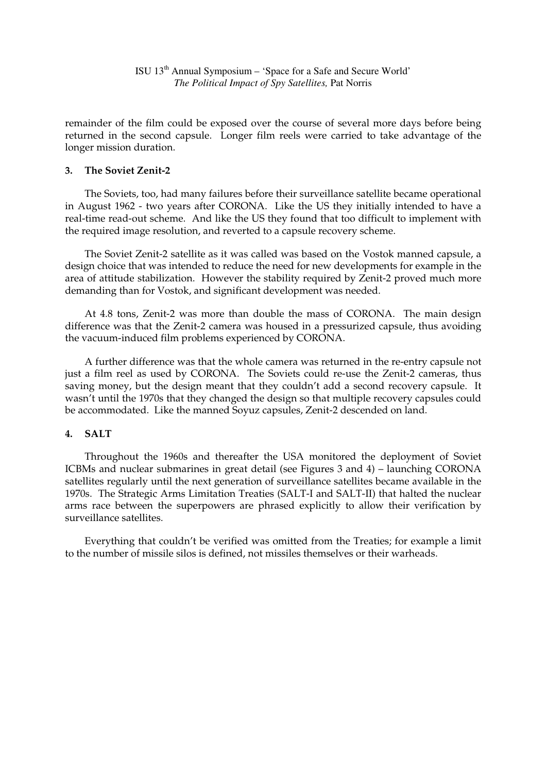remainder of the film could be exposed over the course of several more days before being returned in the second capsule. Longer film reels were carried to take advantage of the longer mission duration.

## **3. The Soviet Zenit-2**

The Soviets, too, had many failures before their surveillance satellite became operational in August 1962 - two years after CORONA. Like the US they initially intended to have a real-time read-out scheme. And like the US they found that too difficult to implement with the required image resolution, and reverted to a capsule recovery scheme.

The Soviet Zenit-2 satellite as it was called was based on the Vostok manned capsule, a design choice that was intended to reduce the need for new developments for example in the area of attitude stabilization. However the stability required by Zenit-2 proved much more demanding than for Vostok, and significant development was needed.

At 4.8 tons, Zenit-2 was more than double the mass of CORONA. The main design difference was that the Zenit-2 camera was housed in a pressurized capsule, thus avoiding the vacuum-induced film problems experienced by CORONA.

A further difference was that the whole camera was returned in the re-entry capsule not just a film reel as used by CORONA. The Soviets could re-use the Zenit-2 cameras, thus saving money, but the design meant that they couldn't add a second recovery capsule. It wasn't until the 1970s that they changed the design so that multiple recovery capsules could be accommodated. Like the manned Soyuz capsules, Zenit-2 descended on land.

## **4. SALT**

Throughout the 1960s and thereafter the USA monitored the deployment of Soviet ICBMs and nuclear submarines in great detail (see Figures 3 and 4) – launching CORONA satellites regularly until the next generation of surveillance satellites became available in the 1970s. The Strategic Arms Limitation Treaties (SALT-I and SALT-II) that halted the nuclear arms race between the superpowers are phrased explicitly to allow their verification by surveillance satellites.

Everything that couldn't be verified was omitted from the Treaties; for example a limit to the number of missile silos is defined, not missiles themselves or their warheads.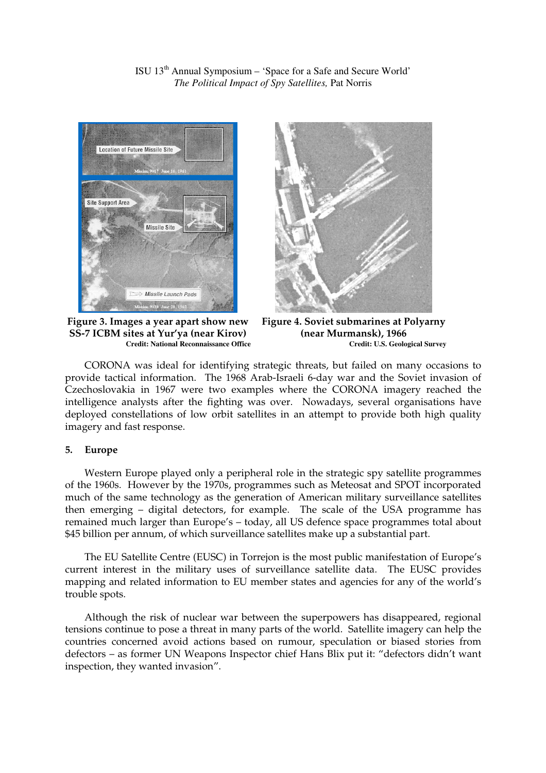ISU 13th Annual Symposium – 'Space for a Safe and Secure World' *The Political Impact of Spy Satellites,* Pat Norris



**Figure 3. Images a year apart show new SS-7 ICBM sites at Yur'ya (near Kirov) Credit: National Reconnaissance Office**



**Figure 4. Soviet submarines at Polyarny (near Murmansk), 1966 Credit: U.S. Geological Survey**

CORONA was ideal for identifying strategic threats, but failed on many occasions to provide tactical information. The 1968 Arab-Israeli 6-day war and the Soviet invasion of Czechoslovakia in 1967 were two examples where the CORONA imagery reached the intelligence analysts after the fighting was over. Nowadays, several organisations have deployed constellations of low orbit satellites in an attempt to provide both high quality imagery and fast response.

#### **5. Europe**

Western Europe played only a peripheral role in the strategic spy satellite programmes of the 1960s. However by the 1970s, programmes such as Meteosat and SPOT incorporated much of the same technology as the generation of American military surveillance satellites then emerging – digital detectors, for example. The scale of the USA programme has remained much larger than Europe's – today, all US defence space programmes total about \$45 billion per annum, of which surveillance satellites make up a substantial part.

The EU Satellite Centre (EUSC) in Torrejon is the most public manifestation of Europe's current interest in the military uses of surveillance satellite data. The EUSC provides mapping and related information to EU member states and agencies for any of the world's trouble spots.

Although the risk of nuclear war between the superpowers has disappeared, regional tensions continue to pose a threat in many parts of the world. Satellite imagery can help the countries concerned avoid actions based on rumour, speculation or biased stories from defectors – as former UN Weapons Inspector chief Hans Blix put it: "defectors didn't want inspection, they wanted invasion".